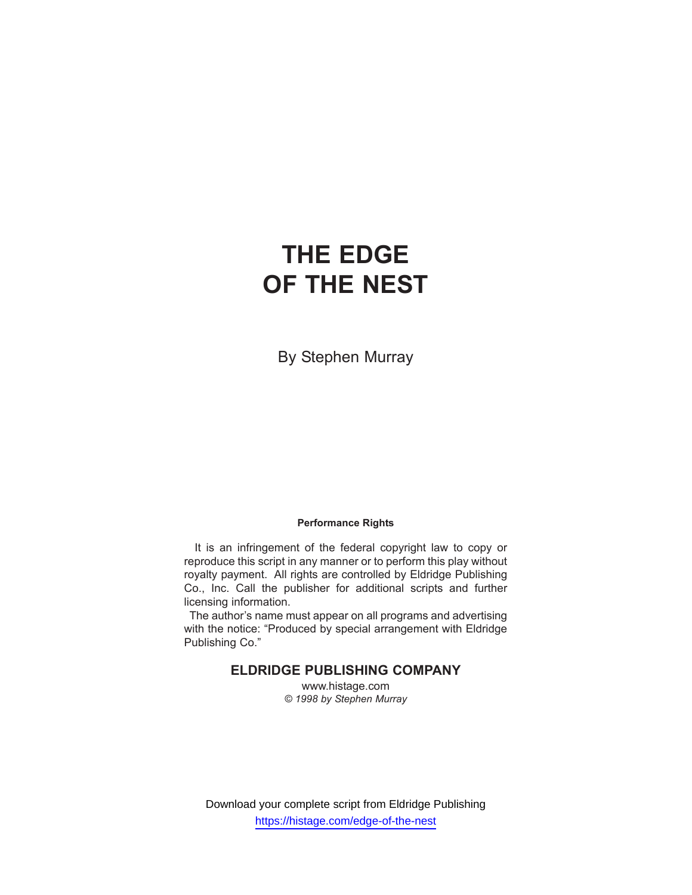By Stephen Murray

## **Performance Rights**

It is an infringement of the federal copyright law to copy or reproduce this script in any manner or to perform this play without royalty payment. All rights are controlled by Eldridge Publishing Co., Inc. Call the publisher for additional scripts and further licensing information.

The author's name must appear on all programs and advertising with the notice: "Produced by special arrangement with Eldridge Publishing Co."

## **ELDRIDGE PUBLISHING COMPANY**

www.histage.com *© 1998 by Stephen Murray*

Download your complete script from Eldridge Publishing https://histage.com/edge-of-the-nest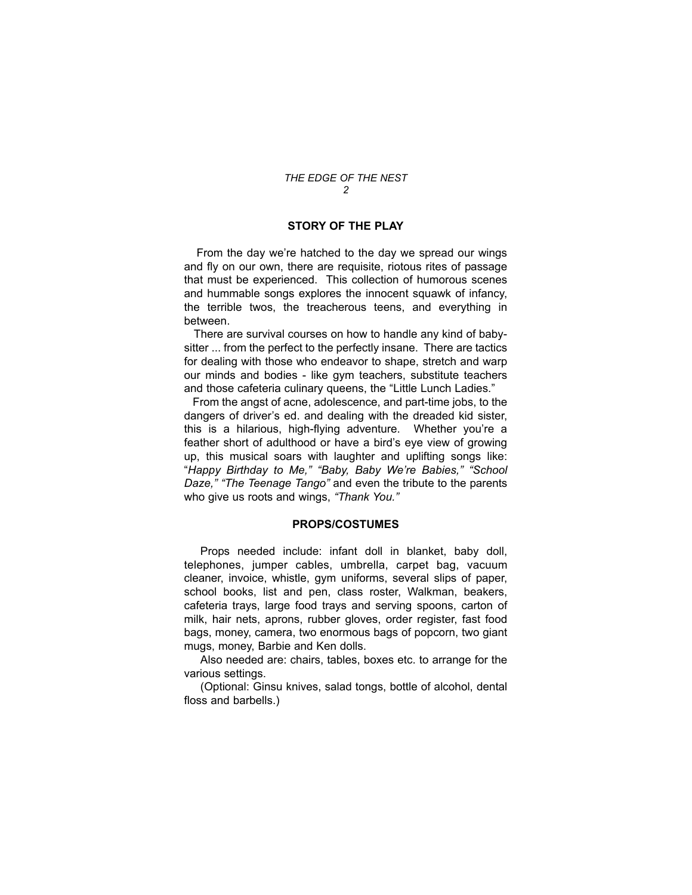#### **STORY OF THE PLAY**

From the day we're hatched to the day we spread our wings and fly on our own, there are requisite, riotous rites of passage that must be experienced. This collection of humorous scenes and hummable songs explores the innocent squawk of infancy, the terrible twos, the treacherous teens, and everything in between.

There are survival courses on how to handle any kind of babysitter ... from the perfect to the perfectly insane. There are tactics for dealing with those who endeavor to shape, stretch and warp our minds and bodies - like gym teachers, substitute teachers and those cafeteria culinary queens, the "Little Lunch Ladies."

From the angst of acne, adolescence, and part-time jobs, to the dangers of driver's ed. and dealing with the dreaded kid sister, this is a hilarious, high-flying adventure. Whether you're a feather short of adulthood or have a bird's eye view of growing up, this musical soars with laughter and uplifting songs like: "*Happy Birthday to Me," "Baby, Baby We're Babies," "School Daze," "The Teenage Tango"* and even the tribute to the parents who give us roots and wings, *"Thank You."*

#### **PROPS/COSTUMES**

Props needed include: infant doll in blanket, baby doll, telephones, jumper cables, umbrella, carpet bag, vacuum cleaner, invoice, whistle, gym uniforms, several slips of paper, school books, list and pen, class roster, Walkman, beakers, cafeteria trays, large food trays and serving spoons, carton of milk, hair nets, aprons, rubber gloves, order register, fast food bags, money, camera, two enormous bags of popcorn, two giant mugs, money, Barbie and Ken dolls.

Also needed are: chairs, tables, boxes etc. to arrange for the various settings.

(Optional: Ginsu knives, salad tongs, bottle of alcohol, dental floss and barbells.)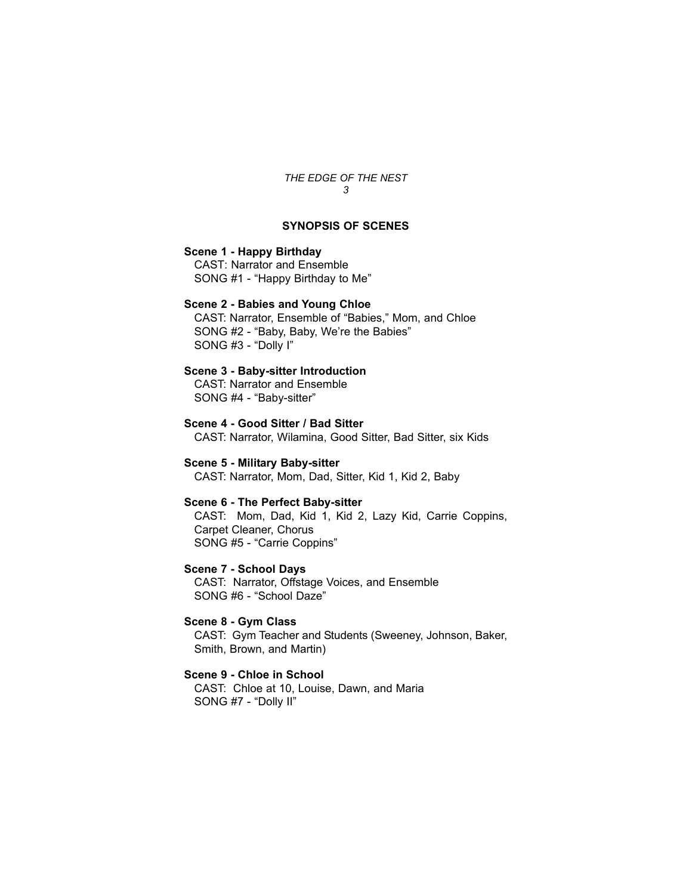## **SYNOPSIS OF SCENES**

## **Scene 1 - Happy Birthday**

CAST: Narrator and Ensemble SONG #1 - "Happy Birthday to Me"

## **Scene 2 - Babies and Young Chloe**

CAST: Narrator, Ensemble of "Babies," Mom, and Chloe SONG #2 - "Baby, Baby, We're the Babies" SONG #3 - "Dolly I"

## **Scene 3 - Baby-sitter Introduction**

CAST: Narrator and Ensemble SONG #4 - "Baby-sitter"

**Scene 4 - Good Sitter / Bad Sitter**  CAST: Narrator, Wilamina, Good Sitter, Bad Sitter, six Kids

**Scene 5 - Military Baby-sitter** CAST: Narrator, Mom, Dad, Sitter, Kid 1, Kid 2, Baby

#### **Scene 6 - The Perfect Baby-sitter**

CAST: Mom, Dad, Kid 1, Kid 2, Lazy Kid, Carrie Coppins, Carpet Cleaner, Chorus SONG #5 - "Carrie Coppins"

**Scene 7 - School Days** 

CAST: Narrator, Offstage Voices, and Ensemble SONG #6 - "School Daze"

## **Scene 8 - Gym Class**

CAST: Gym Teacher and Students (Sweeney, Johnson, Baker, Smith, Brown, and Martin)

## **Scene 9 - Chloe in School**

CAST: Chloe at 10, Louise, Dawn, and Maria SONG #7 - "Dolly II"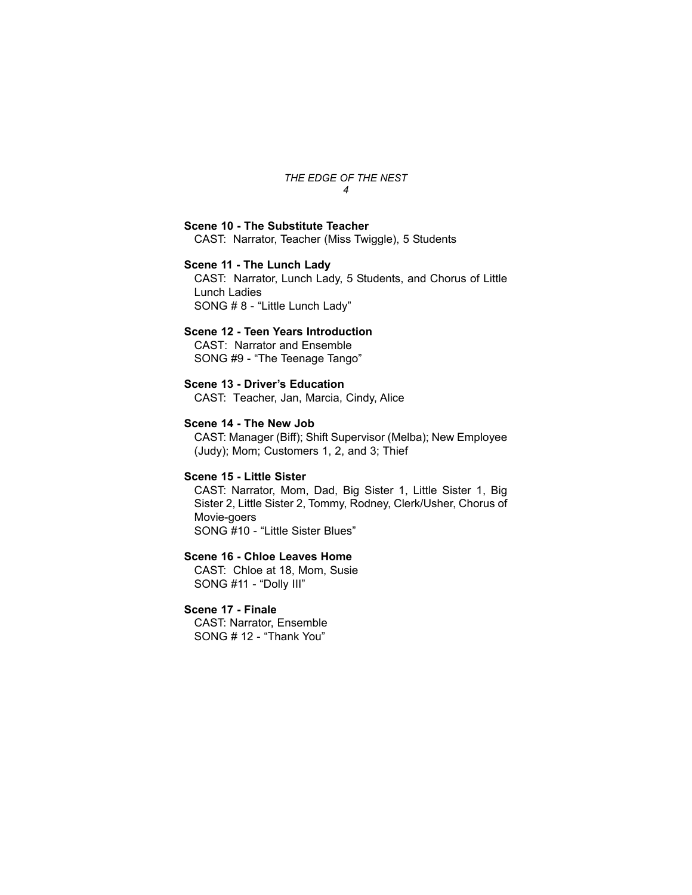## **Scene 10 - The Substitute Teacher**

CAST: Narrator, Teacher (Miss Twiggle), 5 Students

## **Scene 11 - The Lunch Lady**

CAST: Narrator, Lunch Lady, 5 Students, and Chorus of Little Lunch Ladies SONG # 8 - "Little Lunch Lady"

## **Scene 12 - Teen Years Introduction**

CAST: Narrator and Ensemble SONG #9 - "The Teenage Tango"

## **Scene 13 - Driver's Education**

CAST: Teacher, Jan, Marcia, Cindy, Alice

#### **Scene 14 - The New Job**

CAST: Manager (Biff); Shift Supervisor (Melba); New Employee (Judy); Mom; Customers 1, 2, and 3; Thief

#### **Scene 15 - Little Sister**

CAST: Narrator, Mom, Dad, Big Sister 1, Little Sister 1, Big Sister 2, Little Sister 2, Tommy, Rodney, Clerk/Usher, Chorus of Movie-goers SONG #10 - "Little Sister Blues"

## **Scene 16 - Chloe Leaves Home**

CAST: Chloe at 18, Mom, Susie SONG #11 - "Dolly III"

## **Scene 17 - Finale**

CAST: Narrator, Ensemble SONG # 12 - "Thank You"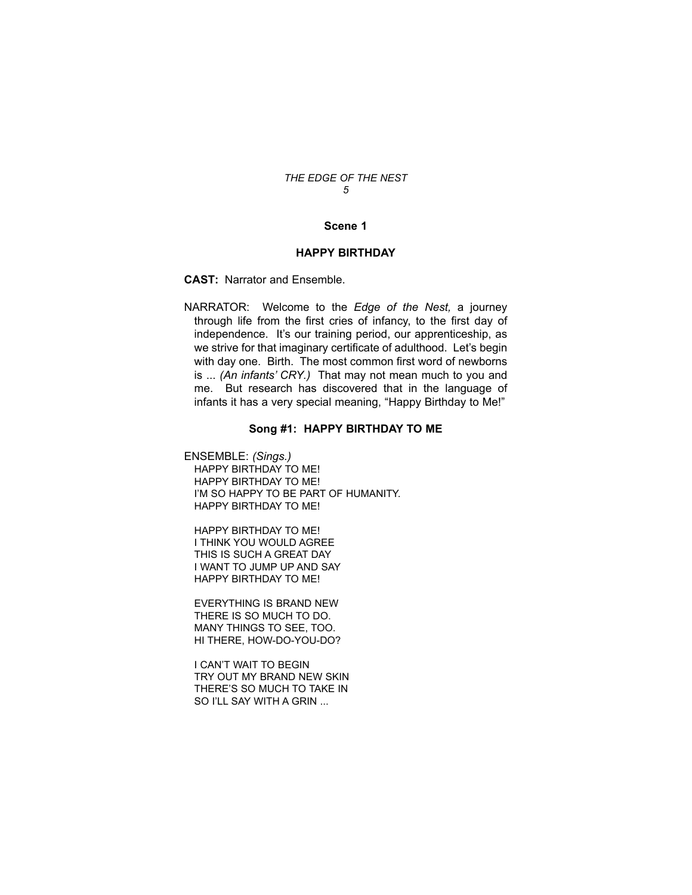## **Scene 1**

## **HAPPY BIRTHDAY**

**CAST:** Narrator and Ensemble.

NARRATOR: Welcome to the *Edge of the Nest,* a journey through life from the first cries of infancy, to the first day of independence. It's our training period, our apprenticeship, as we strive for that imaginary certificate of adulthood. Let's begin with day one. Birth. The most common first word of newborns is ... *(An infants' CRY.)* That may not mean much to you and me. But research has discovered that in the language of infants it has a very special meaning, "Happy Birthday to Me!"

## **Song #1: HAPPY BIRTHDAY TO ME**

ENSEMBLE: *(Sings.)* HAPPY BIRTHDAY TO ME! HAPPY BIRTHDAY TO ME! I'M SO HAPPY TO BE PART OF HUMANITY. HAPPY BIRTHDAY TO ME!

HAPPY BIRTHDAY TO ME! I THINK YOU WOULD AGREE THIS IS SUCH A GREAT DAY I WANT TO JUMP UP AND SAY HAPPY BIRTHDAY TO ME!

EVERYTHING IS BRAND NEW THERE IS SO MUCH TO DO. MANY THINGS TO SEE, TOO. HI THERE, HOW-DO-YOU-DO?

I CAN'T WAIT TO BEGIN TRY OUT MY BRAND NEW SKIN THERE'S SO MUCH TO TAKE IN SO I'LL SAY WITH A GRIN ...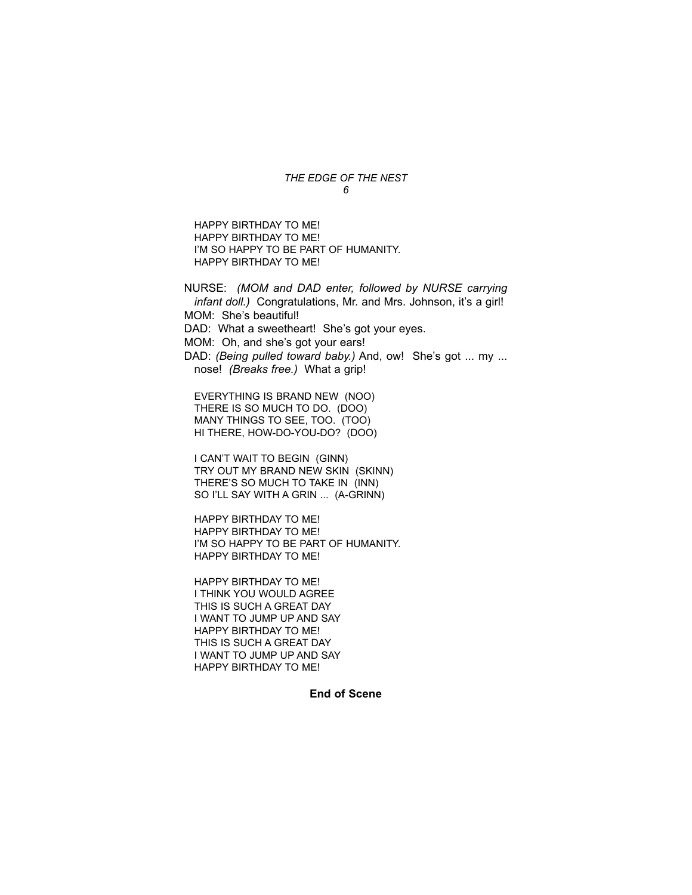HAPPY BIRTHDAY TO ME! HAPPY BIRTHDAY TO ME! I'M SO HAPPY TO BE PART OF HUMANITY. HAPPY BIRTHDAY TO ME!

NURSE: *(MOM and DAD enter, followed by NURSE carrying infant doll.)* Congratulations, Mr. and Mrs. Johnson, it's a girl! MOM: She's beautiful! DAD: What a sweetheart! She's got your eyes. MOM: Oh, and she's got your ears! DAD: *(Being pulled toward baby.)* And, ow! She's got ... my ... nose! *(Breaks free.)* What a grip!

EVERYTHING IS BRAND NEW (NOO) THERE IS SO MUCH TO DO. (DOO) MANY THINGS TO SEE, TOO. (TOO) HI THERE, HOW-DO-YOU-DO? (DOO)

I CAN'T WAIT TO BEGIN (GINN) TRY OUT MY BRAND NEW SKIN (SKINN) THERE'S SO MUCH TO TAKE IN (INN) SO I'LL SAY WITH A GRIN ... (A-GRINN)

HAPPY BIRTHDAY TO ME! HAPPY BIRTHDAY TO ME! I'M SO HAPPY TO BE PART OF HUMANITY. HAPPY BIRTHDAY TO ME!

HAPPY BIRTHDAY TO ME! I THINK YOU WOULD AGREE THIS IS SUCH A GREAT DAY I WANT TO JUMP UP AND SAY HAPPY BIRTHDAY TO ME! THIS IS SUCH A GREAT DAY I WANT TO JUMP UP AND SAY HAPPY BIRTHDAY TO ME!

**End of Scene**